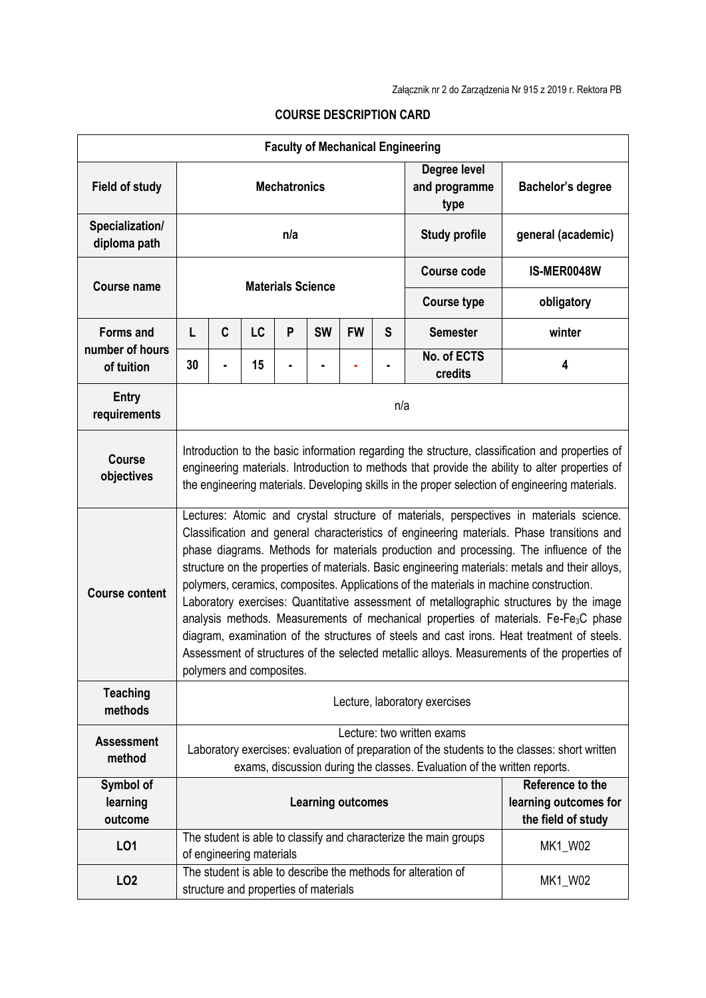| <b>Faculty of Mechanical Engineering</b>          |                                                                                                                                                                                                                                                                                                                                                                                                                                                                                                                                                                                                                                                                                                                                                                                                                                                                                                     |                                                                                                                             |           |         |           |                                                                 |                    |                                                                          |                    |  |
|---------------------------------------------------|-----------------------------------------------------------------------------------------------------------------------------------------------------------------------------------------------------------------------------------------------------------------------------------------------------------------------------------------------------------------------------------------------------------------------------------------------------------------------------------------------------------------------------------------------------------------------------------------------------------------------------------------------------------------------------------------------------------------------------------------------------------------------------------------------------------------------------------------------------------------------------------------------------|-----------------------------------------------------------------------------------------------------------------------------|-----------|---------|-----------|-----------------------------------------------------------------|--------------------|--------------------------------------------------------------------------|--------------------|--|
| <b>Field of study</b>                             | <b>Mechatronics</b>                                                                                                                                                                                                                                                                                                                                                                                                                                                                                                                                                                                                                                                                                                                                                                                                                                                                                 |                                                                                                                             |           |         |           |                                                                 |                    | Degree level<br>and programme<br>type                                    | Bachelor's degree  |  |
| Specialization/<br>diploma path                   | n/a                                                                                                                                                                                                                                                                                                                                                                                                                                                                                                                                                                                                                                                                                                                                                                                                                                                                                                 |                                                                                                                             |           |         |           |                                                                 |                    | <b>Study profile</b>                                                     | general (academic) |  |
| <b>Course name</b>                                |                                                                                                                                                                                                                                                                                                                                                                                                                                                                                                                                                                                                                                                                                                                                                                                                                                                                                                     |                                                                                                                             |           |         |           |                                                                 | <b>Course code</b> | IS-MER0048W                                                              |                    |  |
|                                                   | <b>Materials Science</b>                                                                                                                                                                                                                                                                                                                                                                                                                                                                                                                                                                                                                                                                                                                                                                                                                                                                            |                                                                                                                             |           |         |           |                                                                 |                    | <b>Course type</b>                                                       | obligatory         |  |
| <b>Forms and</b><br>number of hours<br>of tuition | L                                                                                                                                                                                                                                                                                                                                                                                                                                                                                                                                                                                                                                                                                                                                                                                                                                                                                                   | C                                                                                                                           | <b>LC</b> | P       | <b>SW</b> | <b>FW</b>                                                       | S                  | <b>Semester</b>                                                          | winter             |  |
|                                                   | 30                                                                                                                                                                                                                                                                                                                                                                                                                                                                                                                                                                                                                                                                                                                                                                                                                                                                                                  |                                                                                                                             | 15        |         |           |                                                                 |                    | No. of ECTS<br>credits                                                   | 4                  |  |
| Entry<br>requirements                             | n/a                                                                                                                                                                                                                                                                                                                                                                                                                                                                                                                                                                                                                                                                                                                                                                                                                                                                                                 |                                                                                                                             |           |         |           |                                                                 |                    |                                                                          |                    |  |
| <b>Course</b><br>objectives                       | Introduction to the basic information regarding the structure, classification and properties of<br>engineering materials. Introduction to methods that provide the ability to alter properties of<br>the engineering materials. Developing skills in the proper selection of engineering materials.                                                                                                                                                                                                                                                                                                                                                                                                                                                                                                                                                                                                 |                                                                                                                             |           |         |           |                                                                 |                    |                                                                          |                    |  |
| <b>Course content</b>                             | Lectures: Atomic and crystal structure of materials, perspectives in materials science.<br>Classification and general characteristics of engineering materials. Phase transitions and<br>phase diagrams. Methods for materials production and processing. The influence of the<br>structure on the properties of materials. Basic engineering materials: metals and their alloys,<br>polymers, ceramics, composites. Applications of the materials in machine construction.<br>Laboratory exercises: Quantitative assessment of metallographic structures by the image<br>analysis methods. Measurements of mechanical properties of materials. Fe-Fe <sub>3</sub> C phase<br>diagram, examination of the structures of steels and cast irons. Heat treatment of steels.<br>Assessment of structures of the selected metallic alloys. Measurements of the properties of<br>polymers and composites. |                                                                                                                             |           |         |           |                                                                 |                    |                                                                          |                    |  |
| <b>Teaching</b><br>methods                        | Lecture, laboratory exercises                                                                                                                                                                                                                                                                                                                                                                                                                                                                                                                                                                                                                                                                                                                                                                                                                                                                       |                                                                                                                             |           |         |           |                                                                 |                    |                                                                          |                    |  |
| <b>Assessment</b>                                 |                                                                                                                                                                                                                                                                                                                                                                                                                                                                                                                                                                                                                                                                                                                                                                                                                                                                                                     | Lecture: two written exams<br>Laboratory exercises: evaluation of preparation of the students to the classes: short written |           |         |           |                                                                 |                    |                                                                          |                    |  |
| method                                            |                                                                                                                                                                                                                                                                                                                                                                                                                                                                                                                                                                                                                                                                                                                                                                                                                                                                                                     |                                                                                                                             |           |         |           |                                                                 |                    | exams, discussion during the classes. Evaluation of the written reports. |                    |  |
| Symbol of<br>learning<br>outcome                  | <b>Learning outcomes</b>                                                                                                                                                                                                                                                                                                                                                                                                                                                                                                                                                                                                                                                                                                                                                                                                                                                                            |                                                                                                                             |           |         |           | Reference to the<br>learning outcomes for<br>the field of study |                    |                                                                          |                    |  |
| L01                                               |                                                                                                                                                                                                                                                                                                                                                                                                                                                                                                                                                                                                                                                                                                                                                                                                                                                                                                     | The student is able to classify and characterize the main groups<br>MK1_W02<br>of engineering materials                     |           |         |           |                                                                 |                    |                                                                          |                    |  |
| LO <sub>2</sub>                                   | The student is able to describe the methods for alteration of<br>structure and properties of materials                                                                                                                                                                                                                                                                                                                                                                                                                                                                                                                                                                                                                                                                                                                                                                                              |                                                                                                                             |           | MK1_W02 |           |                                                                 |                    |                                                                          |                    |  |

## **COURSE DESCRIPTION CARD**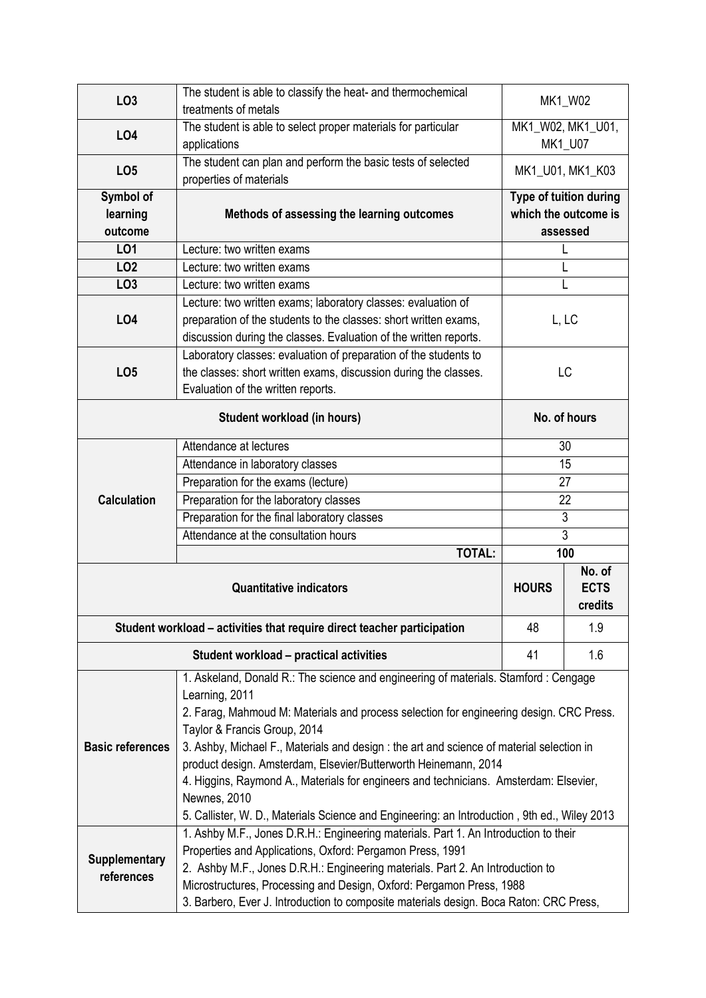| LO <sub>3</sub>                                                         | The student is able to classify the heat- and thermochemical                                 | MK1_W02                                        |         |  |  |  |  |  |
|-------------------------------------------------------------------------|----------------------------------------------------------------------------------------------|------------------------------------------------|---------|--|--|--|--|--|
|                                                                         | treatments of metals                                                                         |                                                |         |  |  |  |  |  |
| LO4                                                                     | The student is able to select proper materials for particular                                | MK1_W02, MK1_U01,                              |         |  |  |  |  |  |
|                                                                         | applications                                                                                 |                                                | MK1_U07 |  |  |  |  |  |
| LO <sub>5</sub>                                                         | The student can plan and perform the basic tests of selected<br>properties of materials      | MK1_U01, MK1_K03                               |         |  |  |  |  |  |
| Symbol of                                                               |                                                                                              |                                                |         |  |  |  |  |  |
| learning                                                                | Methods of assessing the learning outcomes                                                   | Type of tuition during<br>which the outcome is |         |  |  |  |  |  |
| outcome                                                                 |                                                                                              | assessed                                       |         |  |  |  |  |  |
| L01                                                                     | Lecture: two written exams                                                                   |                                                |         |  |  |  |  |  |
| LO <sub>2</sub>                                                         | Lecture: two written exams                                                                   | L                                              |         |  |  |  |  |  |
| LO <sub>3</sub>                                                         | Lecture: two written exams                                                                   | L                                              |         |  |  |  |  |  |
|                                                                         | Lecture: two written exams; laboratory classes: evaluation of                                |                                                |         |  |  |  |  |  |
| <b>LO4</b>                                                              | preparation of the students to the classes: short written exams,                             | L, LC                                          |         |  |  |  |  |  |
|                                                                         | discussion during the classes. Evaluation of the written reports.                            |                                                |         |  |  |  |  |  |
|                                                                         | Laboratory classes: evaluation of preparation of the students to                             |                                                |         |  |  |  |  |  |
|                                                                         | the classes: short written exams, discussion during the classes.                             | LC                                             |         |  |  |  |  |  |
| LO <sub>5</sub>                                                         | Evaluation of the written reports.                                                           |                                                |         |  |  |  |  |  |
|                                                                         |                                                                                              |                                                |         |  |  |  |  |  |
|                                                                         | No. of hours                                                                                 |                                                |         |  |  |  |  |  |
|                                                                         | Attendance at lectures                                                                       | 30                                             |         |  |  |  |  |  |
|                                                                         | Attendance in laboratory classes                                                             | 15                                             |         |  |  |  |  |  |
|                                                                         | Preparation for the exams (lecture)                                                          | 27                                             |         |  |  |  |  |  |
| <b>Calculation</b>                                                      | Preparation for the laboratory classes                                                       | 22                                             |         |  |  |  |  |  |
|                                                                         | Preparation for the final laboratory classes                                                 | $\overline{3}$                                 |         |  |  |  |  |  |
|                                                                         | Attendance at the consultation hours                                                         | $\overline{3}$                                 |         |  |  |  |  |  |
|                                                                         | <b>TOTAL:</b>                                                                                | 100                                            |         |  |  |  |  |  |
|                                                                         | <b>HOURS</b>                                                                                 | No. of<br><b>ECTS</b><br>credits               |         |  |  |  |  |  |
| Student workload – activities that require direct teacher participation | 48                                                                                           | 1.9                                            |         |  |  |  |  |  |
|                                                                         | Student workload - practical activities                                                      | 41                                             | 1.6     |  |  |  |  |  |
|                                                                         | 1. Askeland, Donald R.: The science and engineering of materials. Stamford: Cengage          |                                                |         |  |  |  |  |  |
|                                                                         | Learning, 2011                                                                               |                                                |         |  |  |  |  |  |
|                                                                         | 2. Farag, Mahmoud M: Materials and process selection for engineering design. CRC Press.      |                                                |         |  |  |  |  |  |
|                                                                         | Taylor & Francis Group, 2014                                                                 |                                                |         |  |  |  |  |  |
| <b>Basic references</b>                                                 | 3. Ashby, Michael F., Materials and design : the art and science of material selection in    |                                                |         |  |  |  |  |  |
|                                                                         | product design. Amsterdam, Elsevier/Butterworth Heinemann, 2014                              |                                                |         |  |  |  |  |  |
|                                                                         | 4. Higgins, Raymond A., Materials for engineers and technicians. Amsterdam: Elsevier,        |                                                |         |  |  |  |  |  |
|                                                                         | Newnes, 2010                                                                                 |                                                |         |  |  |  |  |  |
|                                                                         | 5. Callister, W. D., Materials Science and Engineering: an Introduction, 9th ed., Wiley 2013 |                                                |         |  |  |  |  |  |
|                                                                         | 1. Ashby M.F., Jones D.R.H.: Engineering materials. Part 1. An Introduction to their         |                                                |         |  |  |  |  |  |
| Supplementary                                                           | Properties and Applications, Oxford: Pergamon Press, 1991                                    |                                                |         |  |  |  |  |  |
| references                                                              | 2. Ashby M.F., Jones D.R.H.: Engineering materials. Part 2. An Introduction to               |                                                |         |  |  |  |  |  |
|                                                                         | Microstructures, Processing and Design, Oxford: Pergamon Press, 1988                         |                                                |         |  |  |  |  |  |
|                                                                         | 3. Barbero, Ever J. Introduction to composite materials design. Boca Raton: CRC Press,       |                                                |         |  |  |  |  |  |